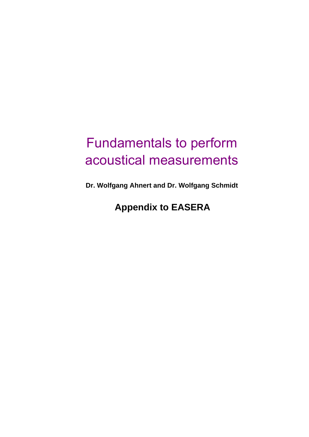# <span id="page-0-0"></span>Fundamentals to perform acoustical measurements

**Dr. Wolfgang Ahnert and Dr. Wolfgang Schmidt**

## **Appendix to EASERA**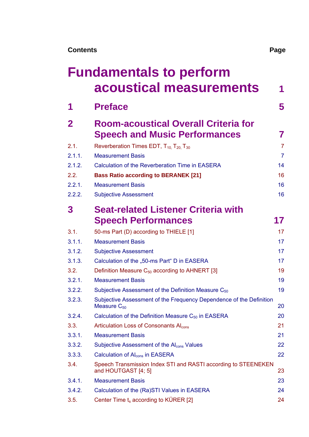| <b>Fundamentals to perform</b> |  |
|--------------------------------|--|
| acoustical measurements        |  |

| 1            | <b>Preface</b>                                                                          | 5              |
|--------------|-----------------------------------------------------------------------------------------|----------------|
| $\mathbf{2}$ | <b>Room-acoustical Overall Criteria for</b>                                             |                |
|              | <b>Speech and Music Performances</b>                                                    | 7              |
| 2.1.         | Reverberation Times EDT, $T_{10}$ , $T_{20}$ , $T_{30}$                                 | $\overline{7}$ |
| 2.1.1.       | <b>Measurement Basis</b>                                                                | $\overline{7}$ |
| 2.1.2.       | <b>Calculation of the Reverberation Time in EASERA</b>                                  | 14             |
| 2.2.         | <b>Bass Ratio according to BERANEK [21]</b>                                             | 16             |
| 2.2.1.       | <b>Measurement Basis</b>                                                                | 16             |
| 2.2.2.       | <b>Subjective Assessment</b>                                                            | 16             |
| 3            | <b>Seat-related Listener Criteria with</b>                                              |                |
|              | <b>Speech Performances</b>                                                              | 17             |
| 3.1.         | 50-ms Part (D) according to THIELE [1]                                                  | 17             |
| 3.1.1.       | <b>Measurement Basis</b>                                                                | 17             |
| 3.1.2.       | <b>Subjective Assessment</b>                                                            | 17             |
| 3.1.3.       | Calculation of the "50-ms Part" D in EASERA                                             | 17             |
| 3.2.         | Definition Measure $C_{50}$ according to AHNERT [3]                                     | 19             |
| 3.2.1.       | <b>Measurement Basis</b>                                                                | 19             |
| 3.2.2.       | Subjective Assessment of the Definition Measure $C_{50}$                                | 19             |
| 3.2.3.       | Subjective Assessment of the Frequency Dependence of the Definition<br>Measure $C_{50}$ | 20             |
| 3.2.4.       | Calculation of the Definition Measure $C_{50}$ in EASERA                                | 20             |
| 3.3.         | Articulation Loss of Consonants Al <sub>cons</sub>                                      | 21             |
| 3.3.1.       | <b>Measurement Basis</b>                                                                | 21             |
| 3.3.2.       | Subjective Assessment of the Al <sub>cons</sub> Values                                  | 22             |
| 3.3.3.       | Calculation of Al <sub>cons</sub> in EASERA                                             | 22             |
| 3.4.         | Speech Transmission Index STI and RASTI according to STEENEKEN<br>and HOUTGAST [4; 5]   | 23             |
| 3.4.1.       | <b>Measurement Basis</b>                                                                | 23             |
| 3.4.2.       | Calculation of the (Ra)STI Values in EASERA                                             | 24             |
| 3.5.         | Center Time $t_s$ according to KÜRER [2]                                                | 24             |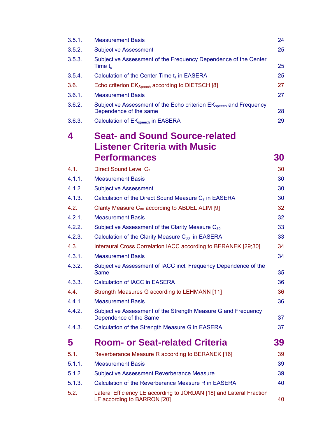| 3.5.1. | <b>Measurement Basis</b>                                                                                 | 24        |
|--------|----------------------------------------------------------------------------------------------------------|-----------|
| 3.5.2. | <b>Subjective Assessment</b>                                                                             | 25        |
| 3.5.3. | Subjective Assessment of the Frequency Dependence of the Center<br>Time $t_s$                            | 25        |
| 3.5.4. | Calculation of the Center Time $t_s$ in EASERA                                                           | 25        |
| 3.6.   | Echo criterion EK <sub>Speech</sub> according to DIETSCH [8]                                             | 27        |
| 3.6.1. | <b>Measurement Basis</b>                                                                                 | 27        |
| 3.6.2. | Subjective Assessment of the Echo criterion EK <sub>speech</sub> and Frequency<br>Dependence of the same | 28        |
| 3.6.3. | Calculation of EK <sub>speech</sub> in EASERA                                                            | 29        |
| 4      | <b>Seat- and Sound Source-related</b>                                                                    |           |
|        | <b>Listener Criteria with Music</b>                                                                      |           |
|        | <b>Performances</b>                                                                                      | 30        |
| 4.1.   | Direct Sound Level C <sub>7</sub>                                                                        | 30        |
| 4.1.1. | <b>Measurement Basis</b>                                                                                 | 30        |
| 4.1.2. | <b>Subjective Assessment</b>                                                                             | 30        |
| 4.1.3. | Calculation of the Direct Sound Measure C <sub>7</sub> in EASERA                                         | 30        |
| 4.2.   | Clarity Measure $C_{80}$ according to ABDEL ALIM [9]                                                     | 32        |
| 4.2.1. | <b>Measurement Basis</b>                                                                                 | 32        |
| 4.2.2. | Subjective Assessment of the Clarity Measure C <sub>80</sub>                                             | 33        |
| 4.2.3. | Calculation of the Clarity Measure C <sub>80</sub> in EASERA                                             | 33        |
| 4.3.   | Interaural Cross Correlation IACC according to BERANEK [29;30]                                           | 34        |
| 4.3.1. | <b>Measurement Basis</b>                                                                                 | 34        |
| 4.3.2. | Subjective Assessment of IACC incl. Frequency Dependence of the<br><b>Same</b>                           | 35        |
| 4.3.3. | <b>Calculation of IACC in EASERA</b>                                                                     | 36        |
| 4.4.   | Strength Measures G according to LEHMANN [11]                                                            | 36        |
| 4.4.1. | <b>Measurement Basis</b>                                                                                 | 36        |
| 4.4.2. | Subjective Assessment of the Strength Measure G and Frequency<br>Dependence of the Same                  | 37        |
| 4.4.3. | Calculation of the Strength Measure G in EASERA                                                          | 37        |
| 5      | <b>Room- or Seat-related Criteria</b>                                                                    | <b>39</b> |
| 5.1.   | Reverberance Measure R according to BERANEK [16]                                                         | 39        |
| 5.1.1. | <b>Measurement Basis</b>                                                                                 | 39        |
| 5.1.2. | <b>Subjective Assessment Reverberance Measure</b>                                                        | 39        |
| 5.1.3. | Calculation of the Reverberance Measure R in EASERA                                                      | 40        |
| 5.2.   | Lateral Efficiency LE according to JORDAN [18] and Lateral Fraction<br>LF according to BARRON [20]       | 40        |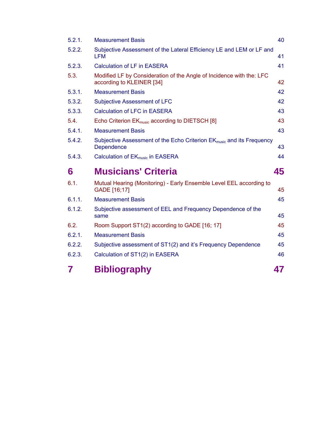| 7      | <b>Bibliography</b>                                                                                    | 47 |
|--------|--------------------------------------------------------------------------------------------------------|----|
| 6.2.3. | Calculation of ST1(2) in EASERA                                                                        | 46 |
| 6.2.2. | Subjective assessment of ST1(2) and it's Frequency Dependence                                          | 45 |
| 6.2.1. | <b>Measurement Basis</b>                                                                               | 45 |
| 6.2.   | Room Support ST1(2) according to GADE [16; 17]                                                         | 45 |
| 6.1.2. | Subjective assessment of EEL and Frequency Dependence of the<br>same                                   | 45 |
| 6.1.1. | <b>Measurement Basis</b>                                                                               | 45 |
| 6.1.   | Mutual Hearing (Monitoring) - Early Ensemble Level EEL according to<br>GADE [16;17]                    | 45 |
| 6      | <b>Musicians' Criteria</b>                                                                             | 45 |
| 5.4.3. | Calculation of EK <sub>music</sub> in EASERA                                                           | 44 |
| 5.4.2. | Subjective Assessment of the Echo Criterion EK <sub>music</sub> and its Frequency<br><b>Dependence</b> | 43 |
| 5.4.1. | <b>Measurement Basis</b>                                                                               | 43 |
| 5.4.   | Echo Criterion EK <sub>music</sub> according to DIETSCH [8]                                            | 43 |
| 5.3.3. | <b>Calculation of LFC in EASERA</b>                                                                    | 43 |
| 5.3.2. | <b>Subjective Assessment of LFC</b>                                                                    | 42 |
| 5.3.1. | <b>Measurement Basis</b>                                                                               | 42 |
| 5.3.   | Modified LF by Consideration of the Angle of Incidence with the: LFC<br>according to KLEINER [34]      | 42 |
| 5.2.3. | <b>Calculation of LF in EASERA</b>                                                                     | 41 |
| 5.2.2. | Subjective Assessment of the Lateral Efficiency LE and LEM or LF and<br>LFM                            | 41 |
| 5.2.1. | <b>Measurement Basis</b>                                                                               | 40 |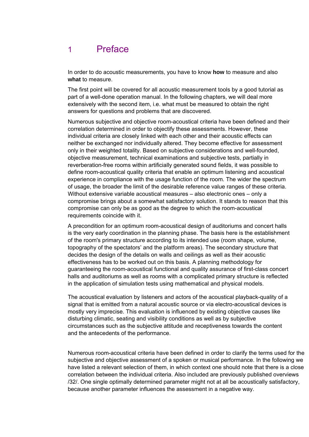## <span id="page-4-0"></span>1 Preface

In order to do acoustic measurements, you have to know **how** to measure and also **what** to measure.

The first point will be covered for all acoustic measurement tools by a good tutorial as part of a well-done operation manual. In the following chapters, we will deal more extensively with the second item, i.e. what must be measured to obtain the right answers for questions and problems that are discovered.

Numerous subjective and objective room-acoustical criteria have been defined and their correlation determined in order to objectify these assessments. However, these individual criteria are closely linked with each other and their acoustic effects can neither be exchanged nor individually altered. They become effective for assessment only in their weighted totality. Based on subjective considerations and well-founded, objective measurement, technical examinations and subjective tests, partially in reverberation-free rooms within artificially generated sound fields, it was possible to define room-acoustical quality criteria that enable an optimum listening and acoustical experience in compliance with the usage function of the room. The wider the spectrum of usage, the broader the limit of the desirable reference value ranges of these criteria. Without extensive variable acoustical measures – also electronic ones – only a compromise brings about a somewhat satisfactory solution. It stands to reason that this compromise can only be as good as the degree to which the room-acoustical requirements coincide with it.

A precondition for an optimum room-acoustical design of auditoriums and concert halls is the very early coordination in the planning phase. The basis here is the establishment of the room's primary structure according to its intended use (room shape, volume, topography of the spectators' and the platform areas). The secondary structure that decides the design of the details on walls and ceilings as well as their acoustic effectiveness has to be worked out on this basis. A planning methodology for guaranteeing the room-acoustical functional and quality assurance of first-class concert halls and auditoriums as well as rooms with a complicated primary structure is reflected in the application of simulation tests using mathematical and physical models.

The acoustical evaluation by listeners and actors of the acoustical playback-quality of a signal that is emitted from a natural acoustic source or via electro-acoustical devices is mostly very imprecise. This evaluation is influenced by existing objective causes like disturbing climatic, seating and visibility conditions as well as by subjective circumstances such as the subjective attitude and receptiveness towards the content and the antecedents of the performance.

Numerous room-acoustical criteria have been defined in order to clarify the terms used for the subjective and objective assessment of a spoken or musical performance. In the following we have listed a relevant selection of them, in which context one should note that there is a close correlation between the individual criteria. Also included are previously published overviews /32/. One single optimally determined parameter might not at all be acoustically satisfactory, because another parameter influences the assessment in a negative way.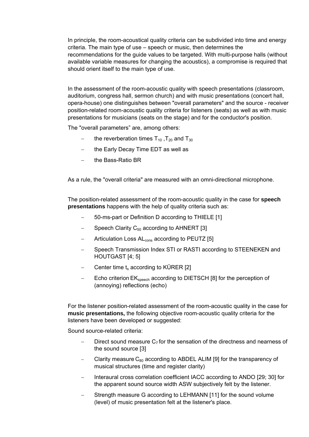In principle, the room-acoustical quality criteria can be subdivided into time and energy criteria. The main type of use – speech or music, then determines the recommendations for the guide values to be targeted. With multi-purpose halls (without available variable measures for changing the acoustics), a compromise is required that should orient itself to the main type of use.

In the assessment of the room-acoustic quality with speech presentations (classroom, auditorium, congress hall, sermon church) and with music presentations (concert hall, opera-house) one distinguishes between "overall parameters" and the source - receiver position-related room-acoustic quality criteria for listeners (seats) as well as with music presentations for musicians (seats on the stage) and for the conductor's position.

The "overall parameters" are, among others:

- the reverberation times  $T_{10}$ ,  $T_{20}$  and  $T_{30}$
- − the Early Decay Time EDT as well as
- − the Bass-Ratio BR

As a rule, the "overall criteria" are measured with an omni-directional microphone.

The position-related assessment of the room-acoustic quality in the case for **speech presentations** happens with the help of quality criteria such as:

- − 50-ms-part or Definition D according to THIELE [1]
- − Speech Clarity C<sub>50</sub> according to AHNERT [3]
- Articulation Loss AL<sub>cons</sub> according to PEUTZ [5]
- Speech Transmission Index STI or RASTI according to STEENEKEN and HOUTGAST [4; 5]
- Center time  $t_s$  according to KÜRER [2]
- Echo criterion EK<sub>speech</sub> according to DIETSCH [8] for the perception of (annoying) reflections (echo)

For the listener position-related assessment of the room-acoustic quality in the case for **music presentations,** the following objective room-acoustic quality criteria for the listeners have been developed or suggested:

Sound source-related criteria:

- Direct sound measure  $C_7$  for the sensation of the directness and nearness of the sound source [3]
- Clarity measure  $C_{80}$  according to ABDEL ALIM [9] for the transparency of musical structures (time and register clarity)
- − Interaural cross correlation coefficient IACC according to ANDO [29; 30] for the apparent sound source width ASW subjectively felt by the listener.
- Strength measure G according to LEHMANN [11] for the sound volume (level) of music presentation felt at the listener's place.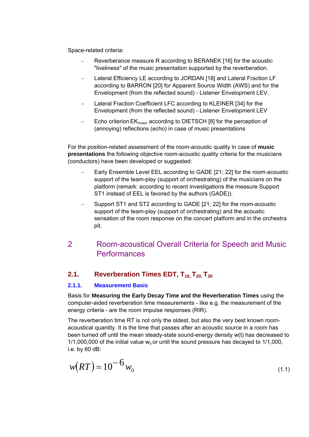<span id="page-6-0"></span>Space-related criteria:

- − Reverberance measure R according to BERANEK [16] for the acoustic "liveliness" of the music presentation supported by the reverberation.
- − Lateral Efficiency LE according to JORDAN [18] and Lateral Fraction LF according to BARRON [20] for Apparent Source Width (AWS) and for the Envelopment (from the reflected sound) - Listener Envelopment LEV.
- − Lateral Fraction Coefficient LFC according to KLEINER [34] for the Envelopment (from the reflected sound) - Listener Envelopment LEV
- Echo criterion EK<sub>music</sub> according to DIETSCH [8] for the perception of (annoying) reflections (echo) in case of music presentations

For the position-related assessment of the room-acoustic quality in case of **music presentations** the following objective room-acoustic quality criteria for the musicians (conductors) have been developed or suggested:

- − Early Ensemble Level EEL according to GADE [21; 22] for the room-acoustic support of the team-play (support of orchestrating) of the musicians on the platform (remark: according to recent investigations the measure Support ST1 instead of EEL is favored by the authors (GADE)).
- Support ST1 and ST2 according to GADE [21; 22] for the room-acoustic support of the team-play (support of orchestrating) and the acoustic sensation of the room response on the concert platform and in the orchestra pit.

## 2 Room-acoustical Overall Criteria for Speech and Music Performances

## **2.1.** Reverberation Times EDT, T<sub>10,</sub> T<sub>20</sub>, T<sub>30</sub>

#### **2.1.1. Measurement Basis**

Basis for **Measuring the Early Decay Time and the Reverberation Times** using the computer-aided reverberation time measurements - like e.g. the measurement of the energy criteria - are the room impulse responses (RIR).

The reverberation time RT is not only the oldest, but also the very best known roomacoustical quantity. It is the time that passes after an acoustic source in a room has been turned off until the mean steady-state sound-energy density w(t) has decreased to 1/1,000,000 of the initial value  $w_0$  or until the sound pressure has decayed to 1/1,000, i.e. by 60 dB:

$$
w(RT) = 10^{-6} w_0 \tag{1.1}
$$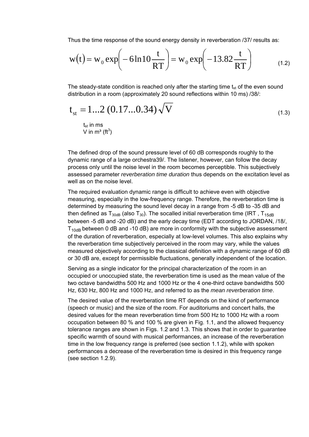Thus the time response of the sound energy density in reverberation /37/ results as:

$$
w(t) = w_0 \exp\left(-6\ln 10 \frac{t}{RT}\right) = w_0 \exp\left(-13.82 \frac{t}{RT}\right)
$$
 (1.2)

The steady-state condition is reached only after the starting time  $t_{st}$  of the even sound distribution in a room (approximately 20 sound reflections within 10 ms) /38/:

$$
t_{st} = 1...2 (0.17...0.34) \sqrt{V}
$$
\n(1.3)

 $t_{st}$  in ms V in m $^3$  (ft $^3$ )

The defined drop of the sound pressure level of 60 dB corresponds roughly to the dynamic range of a large orchestra39/. The listener, however, can follow the decay process only until the noise level in the room becomes perceptible. This subjectively assessed parameter *reverberation time duration* thus depends on the excitation level as well as on the noise level.

The required evaluation dynamic range is difficult to achieve even with objective measuring, especially in the low-frequency range. Therefore, the reverberation time is determined by measuring the sound level decay in a range from -5 dB to -35 dB and then defined as  $T_{30dB}$  (also  $T_{30}$ ). The socalled initial reverberation time (IRT,  $T_{15dB}$ between -5 dB and -20 dB) and the early decay time (EDT according to JORDAN, /18/,  $T<sub>10dB</sub>$  between 0 dB and -10 dB) are more in conformity with the subjective assessment of the duration of reverberation, especially at low-level volumes. This also explains why the reverberation time subjectively perceived in the room may vary, while the values measured objectively according to the classical definition with a dynamic range of 60 dB or 30 dB are, except for permissible fluctuations, generally independent of the location.

Serving as a single indicator for the principal characterization of the room in an occupied or unoccupied state, the reverberation time is used as the mean value of the two octave bandwidths 500 Hz and 1000 Hz or the 4 one-third octave bandwidths 500 Hz, 630 Hz, 800 Hz and 1000 Hz, and referred to as the *mean reverberation time*.

The desired value of the reverberation time RT depends on the kind of performance (speech or music) and the size of the room. For auditoriums and concert halls, the desired values for the mean reverberation time from 500 Hz to 1000 Hz with a room occupation between 80 % and 100 % are given in Fig. 1.1, and the allowed frequency tolerance ranges are shown in Figs. 1.2 and 1.3. This shows that in order to guarantee specific warmth of sound with musical performances, an increase of the reverberation time in the low frequency range is preferred (see section 1.1.2), while with spoken performances a decrease of the reverberation time is desired in this frequency range (see section 1.2.9).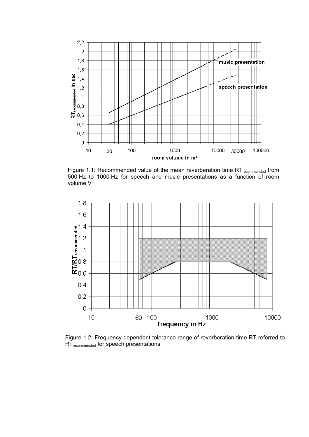

Figure 1.1: Recommended value of the mean reverberation time  $RT_{recommended}$  from 500 Hz to 1000 Hz for speech and music presentations as a function of room volume V



Figure 1.2: Frequency dependent tolerance range of reverberation time RT referred to RT<sub>recommended</sub> for speech presentations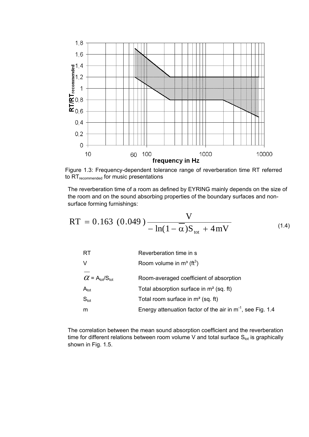

Figure 1.3: Frequency-dependent tolerance range of reverberation time RT referred to RT<sub>recommended</sub> for music presentations

The reverberation time of a room as defined by EYRING mainly depends on the size of the room and on the sound absorbing properties of the boundary surfaces and nonsurface forming furnishings:

RT = 0.163 (0.049) 
$$
\frac{V}{- \ln(1 - \alpha)S_{\text{tot}} + 4mV}
$$
 (1.4)

| -RT                                           | Reverberation time in s                                         |
|-----------------------------------------------|-----------------------------------------------------------------|
| V                                             | Room volume in $m^3$ (ft <sup>3</sup> )                         |
|                                               |                                                                 |
| $\alpha$ = A <sub>tot</sub> /S <sub>tot</sub> | Room-averaged coefficient of absorption                         |
| $A_{\text{tot}}$                              | Total absorption surface in $m2$ (sq. ft)                       |
| $S_{\text{tot}}$                              | Total room surface in $m2$ (sq. ft)                             |
| m                                             | Energy attenuation factor of the air in $m^{-1}$ , see Fig. 1.4 |

The correlation between the mean sound absorption coefficient and the reverberation time for different relations between room volume V and total surface  $S<sub>tot</sub>$  is graphically shown in Fig. 1.5.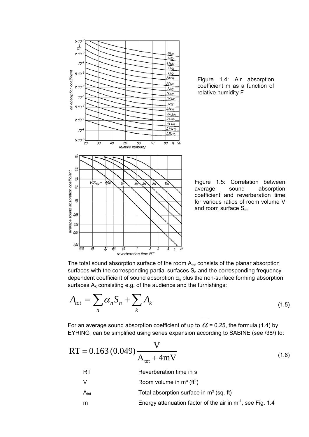

Figure 1.4: Air absorption coefficient m as a function of relative humidity F

Figure 1.5: Correlation between average sound absorption coefficient and reverberation time for various ratios of room volume V and room surface  $S_{\text{tot}}$ 

The total sound absorption surface of the room  $A_{\text{tot}}$  consists of the planar absorption surfaces with the corresponding partial surfaces  $S_n$  and the corresponding frequencydependent coefficient of sound absorption  $\alpha_n$  plus the non-surface forming absorption surfaces  $A_k$  consisting e.g. of the audience and the furnishings:

$$
A_{tot} = \sum_{n} \alpha_n S_n + \sum_{k} A_k \tag{1.5}
$$

For an average sound absorption coefficient of up to  $\alpha$  = 0.25, the formula (1.4) by EYRING can be simplified using series expansion according to SABINE (see /38/) to:

$$
RT = 0.163 (0.049) \frac{V}{A_{\text{tot}} + 4mV}
$$
  
RT Reverberation time in s  
V Room volume in m<sup>3</sup> (ft<sup>3</sup>)  
A<sub>tot</sub> Total absorption surface in m<sup>2</sup> (sq. ft)

m Energy attenuation factor of the air in  $m^{-1}$ , see Fig. 1.4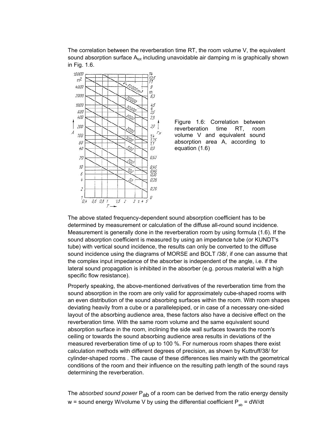The correlation between the reverberation time RT, the room volume V, the equivalent sound absorption surface  $A_{\text{tot}}$  including unavoidable air damping m is graphically shown in Fig. 1.6.





The above stated frequency-dependent sound absorption coefficient has to be determined by measurement or calculation of the diffuse all-round sound incidence. Measurement is generally done in the reverberation room by using formula (1.6). If the sound absorption coefficient is measured by using an impedance tube (or KUNDT's tube) with vertical sound incidence, the results can only be converted to the diffuse sound incidence using the diagrams of MORSE and BOLT /38/, if one can assume that the complex input impedance of the absorber is independent of the angle, i.e. if the lateral sound propagation is inhibited in the absorber (e.g. porous material with a high specific flow resistance).

Properly speaking, the above-mentioned derivatives of the reverberation time from the sound absorption in the room are only valid for approximately cube-shaped rooms with an even distribution of the sound absorbing surfaces within the room. With room shapes deviating heavily from a cube or a parallelepiped, or in case of a necessary one-sided layout of the absorbing audience area, these factors also have a decisive effect on the reverberation time. With the same room volume and the same equivalent sound absorption surface in the room, inclining the side wall surfaces towards the room's ceiling or towards the sound absorbing audience area results in deviations of the measured reverberation time of up to 100 %. For numerous room shapes there exist calculation methods with different degrees of precision, as shown by Kuttruff/38/ for cylinder-shaped rooms . The cause of these differences lies mainly with the geometrical conditions of the room and their influence on the resulting path length of the sound rays determining the reverberation.

The *absorbed sound power* P<sub>ab</sub> of a room can be derived from the ratio energy density w = sound energy W/volume V by using the differential coefficient  $P_{ab} = dW/dt$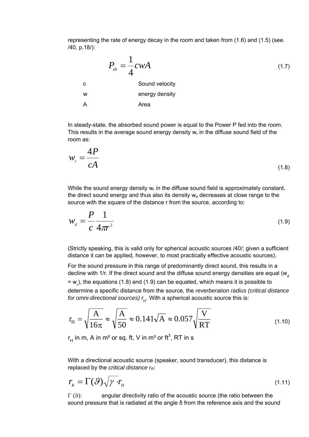representing the rate of energy decay in the room and taken from (1.6) and (1.5) (see. /40, p.18/):

 *Pab cwA* 4 <sup>1</sup> <sup>=</sup> (1.7) c Sound velocity w energy density A Area

In steady-state, the absorbed sound power is equal to the Power P fed into the room. This results in the average sound energy density  $w<sub>r</sub>$  in the diffuse sound field of the room as:

$$
w_r = \frac{4P}{cA} \tag{1.8}
$$

While the sound energy density  $w_r$  in the diffuse sound field is approximately constant, the direct sound energy and thus also its density  $w<sub>d</sub>$  decreases at close range to the source with the square of the distance r from the source, according to:

$$
w_d = \frac{P}{c} \frac{1}{4\pi r^2} \tag{1.9}
$$

(Strictly speaking, this is valid only for spherical acoustic sources /40/; given a sufficient distance it can be applied, however, to most practically effective acoustic sources).

For the sound pressure in this range of predominantly direct sound, this results in a decline with 1/r. If the direct sound and the diffuse sound energy densities are equal ( $w_a$  $=$  w<sub>r</sub>), the equations (1.8) and (1.9) can be equated, which means it is possible to determine a specific distance from the source, the *reverberation radius (critical distance for omni-directional sources)* r H. With a spherical acoustic source this is:

$$
r_{\rm H} = \sqrt{\frac{A}{16\pi}} \approx \sqrt{\frac{A}{50}} \approx 0.141\sqrt{A} \approx 0.057\sqrt{\frac{V}{RT}}
$$
\n(1.10)

 $r_{\rm H}$  in m, A in m $^2$  or sq. ft, V in m $^3$  or ft $^3$ , RT in s

With a directional acoustic source (speaker, sound transducer), this distance is replaced by the *critical distance rR*:

$$
r_{R} = \Gamma(\mathcal{G})\sqrt{\gamma} \cdot r_{H} \tag{1.11}
$$

 $\Gamma$  (9): angular directivity ratio of the acoustic source (the ratio between the sound pressure that is radiated at the angle δ from the reference axis and the sound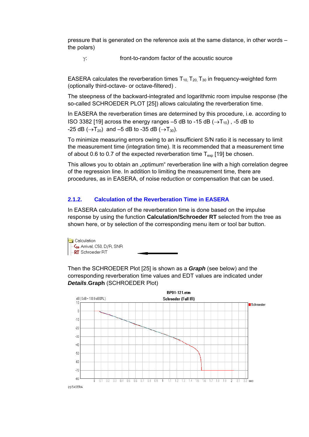<span id="page-13-0"></span>pressure that is generated on the reference axis at the same distance, in other words – the polars)

γ: front-to-random factor of the acoustic source

EASERA calculates the reverberation times  $T_{10}$ ,  $T_{20}$ ,  $T_{30}$  in frequency-weighted form (optionally third-octave- or octave-filtered) .

The steepness of the backward-integrated and logarithmic room impulse response (the so-called SCHROEDER PLOT [25]) allows calculating the reverberation time.

In EASERA the reverberation times are determined by this procedure, i.e. according to ISO 3382 [19] across the energy ranges –5 dB to -15 dB ( $\rightarrow$ T<sub>10</sub>), -5 dB to -25 dB ( $\rightarrow$ T<sub>20</sub>) and –5 dB to -35 dB ( $\rightarrow$ T<sub>30</sub>).

To minimize measuring errors owing to an insufficient S/N ratio it is necessary to limit the measurement time (integration time). It is recommended that a measurement time of about 0.6 to 0.7 of the expected reverberation time  $T_{\text{exp}}$  [19] be chosen.

This allows you to obtain an "optimum" reverberation line with a high correlation degree of the regression line. In addition to limiting the measurement time, there are procedures, as in EASERA, of noise reduction or compensation that can be used.

#### **2.1.2. Calculation of the Reverberation Time in EASERA**

In EASERA calculation of the reverberation time is done based on the impulse response by using the function **Calculation/Schroeder RT** selected from the tree as shown here, or by selection of the corresponding menu item or tool bar button.

**G** Calculation -C<sub>so</sub> Arrival, C50, D/R, SNR -RT Schroeder RT

Then the SCHROEDER Plot [25] is shown as a *Graph* (see below) and the corresponding reverberation time values and EDT values are indicated under *Details*.**Graph** (SCHROEDER Plot)

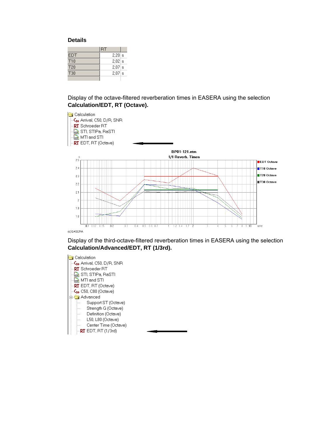#### **Details**

|                 | <b>RT</b> |  |
|-----------------|-----------|--|
| <b>EDT</b>      | $2.20$ s  |  |
| T <sub>10</sub> | $2.02$ s  |  |
| T <sub>20</sub> | $2.07$ s  |  |
| T30             | $2.07$ s  |  |
|                 |           |  |

Display of the octave-filtered reverberation times in EASERA using the selection **Calculation/EDT, RT (Octave).**



Display of the third-octave-filtered reverberation times in EASERA using the selection **Calculation/Advanced/EDT, RT (1/3rd).**

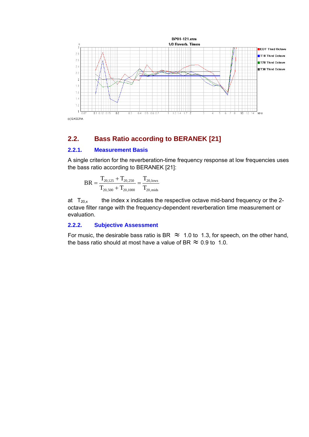<span id="page-15-0"></span>

## **2.2. Bass Ratio according to BERANEK [21]**

#### **2.2.1. Measurement Basis**

A single criterion for the reverberation-time frequency response at low frequencies uses the bass ratio according to BERANEK [21]:

$$
BR = \frac{T_{20,125} + T_{20,250}}{T_{20,500} + T_{20,1000}} = \frac{T_{20,1000}}{T_{20,mids}}
$$

at  $T_{20,x}$  the index x indicates the respective octave mid-band frequency or the 2octave filter range with the frequency-dependent reverberation time measurement or evaluation.

#### **2.2.2. Subjective Assessment**

For music, the desirable bass ratio is BR  $\approx$  1.0 to 1.3, for speech, on the other hand, the bass ratio should at most have a value of BR  $\approx$  0.9 to 1.0.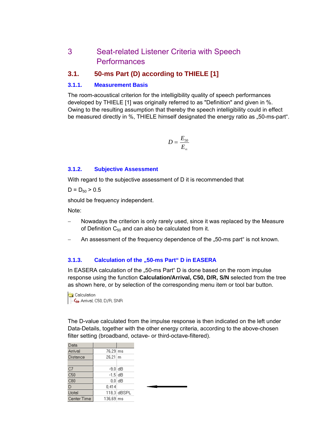## <span id="page-16-0"></span>3 Seat-related Listener Criteria with Speech **Performances**

### **3.1. 50-ms Part (D) according to THIELE [1]**

#### **3.1.1. Measurement Basis**

The room-acoustical criterion for the intelligibility quality of speech performances developed by THIELE [1] was originally referred to as "Definition" and given in %. Owing to the resulting assumption that thereby the speech intelligibility could in effect be measured directly in %. THIELE himself designated the energy ratio as ..50-ms-part".

$$
D=\frac{E_{50}}{E_{\infty}}
$$

#### **3.1.2. Subjective Assessment**

With regard to the subjective assessment of D it is recommended that

 $D = D_{50} > 0.5$ 

should be frequency independent.

Note:

- Nowadays the criterion is only rarely used, since it was replaced by the Measure of Definition  $C_{50}$  and can also be calculated from it.
- An assessment of the frequency dependence of the "50-ms part" is not known.

#### **3.1.3.** Calculation of the "50-ms Part" D in EASERA

In EASERA calculation of the "50-ms Part" D is done based on the room impulse response using the function **Calculation/Arrival, C50, D/R, S/N** selected from the tree as shown here, or by selection of the corresponding menu item or tool bar button.



The D-value calculated from the impulse response is then indicated on the left under Data-Details, together with the other energy criteria, according to the above-chosen filter setting (broadband, octave- or third-octave-filtered).

| Data            |              |             |  |
|-----------------|--------------|-------------|--|
| Arrival         | 76,29 ms     |             |  |
| <b>Distance</b> | $26,21 \, m$ |             |  |
|                 |              |             |  |
| C7              | -9,0 dB      |             |  |
| C50             | $-1.5$ dB    |             |  |
| C80             |              | 0.01dB      |  |
| D               | 0,414        |             |  |
| Ltotal          |              | 118,3 dBSPL |  |
| Center Time     | 136,69 ms    |             |  |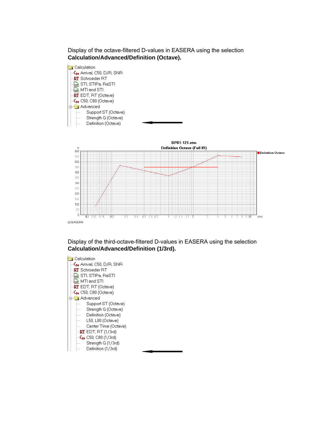#### Display of the octave-filtered D-values in EASERA using the selection **Calculation/Advanced/Definition (Octave).**



 $\overline{10}$ kHz



 $100$  $50$  $\overline{0}$ 

 $\overline{0.1}$  $0.12$  $0.15$  $0.2$ 

#### Display of the third-octave-filtered D-values in EASERA using the selection **Calculation/Advanced/Definition (1/3rd).**

 $0.6$  $\overline{0}$ 

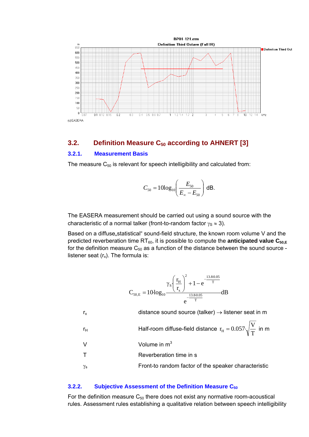<span id="page-18-0"></span>

### **3.2.** Definition Measure C<sub>50</sub> according to AHNERT [3]

#### **3.2.1. Measurement Basis**

The measure  $C_{50}$  is relevant for speech intelligibility and calculated from:

$$
C_{50} = 10\log_{10}\left(\frac{E_{50}}{E_{\infty} - E_{50}}\right) \, \text{dB}.
$$

The EASERA measurement should be carried out using a sound source with the characteristic of a normal talker (front-to-random factor  $\gamma_s \approx 3$ ).

Based on a diffuse, statistical" sound-field structure, the known room volume V and the predicted reverberation time RT<sub>60</sub>, it is possible to compute the **anticipated value C**<sub>50,E</sub> for the definition measure  $C_{50}$  as a function of the distance between the sound source listener seat  $(r_x)$ . The formula is:

$$
C_{50,E}=10\log_{10}\frac{\gamma_S\left(\frac{r_H}{r_x}\right)^2+1-e^{\frac{-13.80.05}{T}}}{e^{\frac{-13.80.05}{T}}}\text{dB}
$$

 $r_x$  distance sound source (talker)  $\rightarrow$  listener seat in m

$$
r_{\rm H}
$$
 Half-room diffuse-field distance  $r_{\rm H} = 0.057 \sqrt{\frac{V}{T}}$  in m

V Volume in  $m^3$ 

T Reverberation time in s

 $\gamma_s$  Front-to random factor of the speaker characteristic

#### **3.2.2.** Subjective Assessment of the Definition Measure C<sub>50</sub>

For the definition measure  $C_{50}$  there does not exist any normative room-acoustical rules. Assessment rules establishing a qualitative relation between speech intelligibility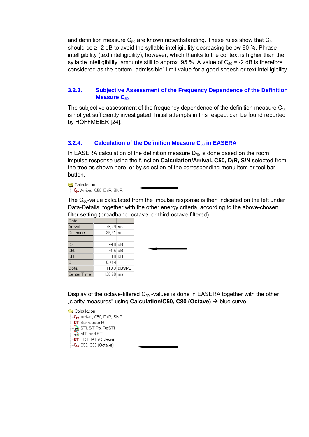<span id="page-19-0"></span>and definition measure  $C_{50}$  are known notwithstanding. These rules show that  $C_{50}$ should be  $\geq$  -2 dB to avoid the syllable intelligibility decreasing below 80 %. Phrase intelligibility (text intelligibility), however, which thanks to the context is higher than the syllable intelligibility, amounts still to approx. 95 %. A value of  $C_{50}$  = -2 dB is therefore considered as the bottom "admissible" limit value for a good speech or text intelligibility.

#### **3.2.3. Subjective Assessment of the Frequency Dependence of the Definition Measure C<sub>50</sub>**

The subjective assessment of the frequency dependence of the definition measure  $C_{50}$ is not yet sufficiently investigated. Initial attempts in this respect can be found reported by HOFFMEIER [24].

#### **3.2.4.** Calculation of the Definition Measure C<sub>50</sub> in EASERA

In EASERA calculation of the definition measure  $D_{50}$  is done based on the room impulse response using the function **Calculation/Arrival, C50, D/R, S/N** selected from the tree as shown here, or by selection of the corresponding menu item or tool bar button.

Calculation  $\left|\right|$  -C<sub>50</sub> Arrival, C50, D/R, SNR

The  $C_{50}$ -value calculated from the impulse response is then indicated on the left under Data-Details, together with the other energy criteria, according to the above-chosen filter setting (broadband, octave- or third-octave-filtered).

| Data        |                       |             |
|-------------|-----------------------|-------------|
| Arrival     | 76,29 ms              |             |
| Distance    | $26.21 \, \mathrm{m}$ |             |
|             |                       |             |
| C7          | $-9.0$ dB             |             |
| C50         | $-1.5$ dB             |             |
| C80         |                       | $0.01$ dB   |
| D           | 0,414                 |             |
| Ltotal      |                       | 118,3 dBSPL |
| Center Time | 136,69 ms             |             |
|             |                       |             |

Display of the octave-filtered  $C_{50}$  -values is done in EASERA together with the other "clarity measures" using **Calculation/C50, C80 (Octave)** → blue curve.

Calculation -C<sub>so</sub> Arrival, C50, D/R, SNR RT Schroeder RT <u>ଲିକ୍</u>ସ STI, STIPa, RaSTI  $\frac{1}{2}$  MTI and STI **RT** EDT, RT (Octave)  $\mathsf{C}_{50}$  C50, C80 (Octave)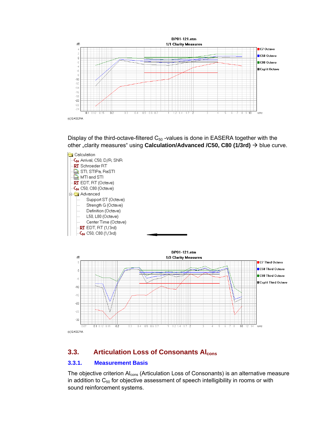<span id="page-20-0"></span>

Display of the third-octave-filtered  $C_{50}$  -values is done in EASERA together with the other "clarity measures" using **Calculation/Advanced /C50, C80 (1/3rd)**  $\rightarrow$  blue curve.



(c) EASERA

## **3.3. Articulation Loss of Consonants Alcons**

 $0.5$  0.6 0.7

#### **3.3.1. Measurement Basis**

 $\overline{0.1}$  $0.12$   $0.15$   $\frac{1}{0.2}$ 

 $\frac{1}{0.3}$  $0.4$ 

The objective criterion  $AI<sub>cons</sub>$  (Articulation Loss of Consonants) is an alternative measure in addition to  $C_{50}$  for objective assessment of speech intelligibility in rooms or with sound reinforcement systems.

,<br>⊮Hz

 $\frac{1}{10}$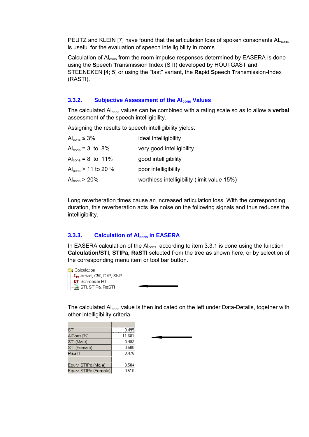<span id="page-21-0"></span>PEUTZ and KLEIN [7] have found that the articulation loss of spoken consonants AL<sub>cons</sub> is useful for the evaluation of speech intelligibility in rooms.

Calculation of Al<sub>cons</sub> from the room impulse responses determined by EASERA is done using the **S**peech **T**ransmission **I**ndex (STI) developed by HOUTGAST and STEENEKEN [4; 5] or using the "fast" variant, the **Ra**pid **S**peech **T**ransmission-**I**ndex (RASTI).

#### **3.3.2.** Subjective Assessment of the Al<sub>cons</sub> Values

The calculated Al<sub>cons</sub> values can be combined with a rating scale so as to allow a **verbal** assessment of the speech intelligibility.

Assigning the results to speech intelligibility yields:

| Al <sub>cons</sub> $\leq 3\%$     | ideal intelligibility                       |
|-----------------------------------|---------------------------------------------|
| $Alcons = 3$ to 8%                | very good intelligibility                   |
| $Al_{cons} = 8$ to 11%            | good intelligibility                        |
| Al <sub>cons</sub> $> 11$ to 20 % | poor intelligibility                        |
| Al <sub>cons</sub> > 20%          | worthless intelligibility (limit value 15%) |

Long reverberation times cause an increased articulation loss. With the corresponding duration, this reverberation acts like noise on the following signals and thus reduces the intelligibility.

#### **3.3.3.** Calculation of Al<sub>cons</sub> in EASERA

In EASERA calculation of the  $Al<sub>cons</sub>$  according to item 3.3.1 is done using the function **Calculation/STI, STIPa, RaSTI** selected from the tree as shown here, or by selection of the corresponding menu item or tool bar button.

Calculation  $\overline{-}$ C<sub>50</sub> Arrival, C50, D/R, SNR RT Schroeder RT  $\Box$ <sub>me</sub> STI, STIPa, RaSTI

The calculated Al<sub>cons</sub> value is then indicated on the left under Data-Details, together with other intelligibility criteria.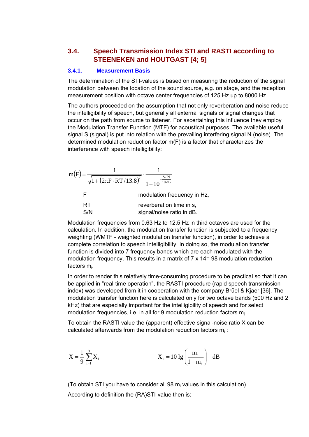## <span id="page-22-0"></span>**3.4. Speech Transmission Index STI and RASTI according to STEENEKEN and HOUTGAST [4; 5]**

#### **3.4.1. Measurement Basis**

The determination of the STI-values is based on measuring the reduction of the signal modulation between the location of the sound source, e.g. on stage, and the reception measurement position with octave center frequencies of 125 Hz up to 8000 Hz.

The authors proceeded on the assumption that not only reverberation and noise reduce the intelligibility of speech, but generally all external signals or signal changes that occur on the path from source to listener. For ascertaining this influence they employ the Modulation Transfer Function (MTF) for acoustical purposes. The available useful signal S (signal) is put into relation with the prevailing interfering signal N (noise). The determined modulation reduction factor m(F) is a factor that characterizes the interference with speech intelligibility:

$$
m(F) = \frac{1}{\sqrt{1 + (2\pi F \cdot RT/13.8)^{2}}} \cdot \frac{1}{1 + 10^{-\frac{S/N}{10 \text{ dB}}}}
$$
  
\nF  
\nmodulation frequency in Hz,  
\nRT  
\nS/N  
\nsignal/noise ratio in dB.

Modulation frequencies from 0.63 Hz to 12.5 Hz in third octaves are used for the calculation. In addition, the modulation transfer function is subjected to a frequency weighting (WMTF - weighted modulation transfer function), in order to achieve a complete correlation to speech intelligibility. In doing so, the modulation transfer function is divided into 7 frequency bands which are each modulated with the modulation frequency. This results in a matrix of 7 x 14= 98 modulation reduction factors mi.

In order to render this relatively time-consuming procedure to be practical so that it can be applied in "real-time operation", the RASTI-procedure (rapid speech transmission index) was developed from it in cooperation with the company Brüel & Kjaer [36]. The modulation transfer function here is calculated only for two octave bands (500 Hz and 2 kHz) that are especially important for the intelligibility of speech and for select modulation frequencies, i.e. in all for 9 modulation reduction factors mj.

To obtain the RASTI value the (apparent) effective signal-noise ratio X can be calculated afterwards from the modulation reduction factors mi :

$$
X = \frac{1}{9} \sum_{i=1}^{9} X_i
$$
  $X_i = 10 \lg \left( \frac{m_i}{1 - m_i} \right)$  dB

(To obtain STI you have to consider all 98  $m<sub>i</sub>$  values in this calculation). According to definition the (RA)STI-value then is: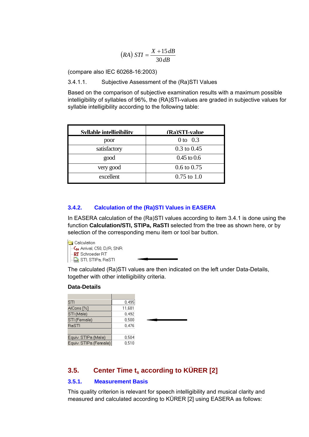$$
(RA) STI = \frac{X + 15dB}{30dB}
$$

<span id="page-23-0"></span>(compare also IEC 60268-16:2003)

3.4.1.1. Subjective Assessment of the (Ra)STI Values

Based on the comparison of subjective examination results with a maximum possible intelligibility of syllables of 96%, the (RA)STI-values are graded in subjective values for syllable intelligibility according to the following table:

| Syllable intelligibility | (Ra)STI-value          |
|--------------------------|------------------------|
| poor                     | 0 to $0.3$             |
| satisfactory             | $0.3 \text{ to } 0.45$ |
| good                     | $0.45$ to $0.6$        |
| very good                | $0.6 \text{ to } 0.75$ |
| excellent                | $0.75$ to 1.0          |

#### **3.4.2. Calculation of the (Ra)STI Values in EASERA**

In EASERA calculation of the (Ra)STI values according to item 3.4.1 is done using the function **Calculation/STI, STIPa, RaSTI** selected from the tree as shown here, or by selection of the corresponding menu item or tool bar button.

Calculation -C<sub>so</sub> Arrival, C50, D/R, SNR RT Schroeder RT  $\Box$  STI, STIPa, RaSTI

The calculated (Ra)STI values are then indicated on the left under Data-Details, together with other intelligibility criteria.

#### **Data-Details**

| STI                   | 0,495  |
|-----------------------|--------|
| AlCons [%]            | 11,681 |
| STI (Male)            | 0,492  |
| STI (Female)          | 0,500  |
| RaSTI                 | 0,476  |
|                       |        |
| Equiv. STIPa (Male)   | 0,504  |
| Equiv. STIPa (Female) | 0,510  |
|                       |        |

## **3.5.** Center Time t<sub>s</sub> according to KÜRER [2]

#### **3.5.1. Measurement Basis**

This quality criterion is relevant for speech intelligibility and musical clarity and measured and calculated according to KÜRER [2] using EASERA as follows: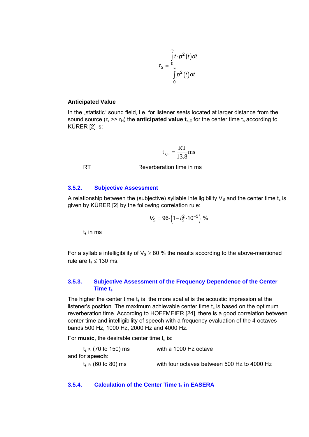$$
t_{\rm S} = \frac{\int\limits_{0}^{\infty} t \cdot p^2(t) dt}{\int\limits_{0}^{\infty} p^2(t) dt}
$$

#### <span id="page-24-0"></span>**Anticipated Value**

In the "statistic" sound field, i.e. for listener seats located at larger distance from the sound source  $(r_x \gg r_H)$  the **anticipated value**  $t_{s,E}$  for the center time  $t_s$  according to KÜRER [2] is:

$$
t_{s,E} = \frac{RT}{13.8} ms
$$

RT Reverberation time in ms

#### **3.5.2. Subjective Assessment**

A relationship between the (subjective) syllable intelligibility  $V_S$  and the center time  $t_s$  is given by KÜRER [2] by the following correlation rule:

$$
V_S = 96 \cdot \left(1 - t_S^2 \cdot 10^{-5}\right) \%
$$

 $t<sub>s</sub>$  in ms

For a syllable intelligibility of  $V_s \geq 80$  % the results according to the above-mentioned rule are  $t_s \le 130$  ms.

#### **3.5.3. Subjective Assessment of the Frequency Dependence of the Center Time ts**

The higher the center time  $t_s$  is, the more spatial is the acoustic impression at the listener's position. The maximum achievable center time  $t_s$  is based on the optimum reverberation time. According to HOFFMEIER [24], there is a good correlation between center time and intelligibility of speech with a frequency evaluation of the 4 octaves bands 500 Hz, 1000 Hz, 2000 Hz and 4000 Hz.

For **music**, the desirable center time  $t_s$  is:

| $t_s \approx (70 \text{ to } 150) \text{ ms}$ | with a 1000 Hz octave                       |
|-----------------------------------------------|---------------------------------------------|
| and for <b>speech</b> :                       |                                             |
| $t_s \approx (60 \text{ to } 80) \text{ ms}$  | with four octaves between 500 Hz to 4000 Hz |

#### **3.5.4.** Calculation of the Center Time t<sub>s</sub> in EASERA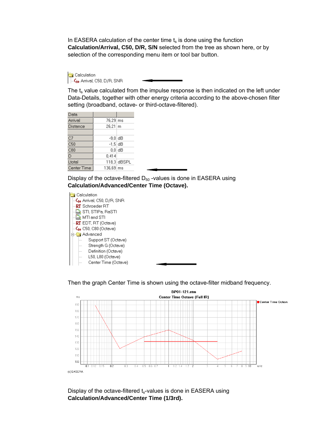In EASERA calculation of the center time  $t_s$  is done using the function **Calculation/Arrival, C50, D/R, S/N** selected from the tree as shown here, or by selection of the corresponding menu item or tool bar button.

Calculation C<sub>so</sub> Arrival, C50, D/R, SNR

The  $t_s$  value calculated from the impulse response is then indicated on the left under Data-Details, together with other energy criteria according to the above-chosen filter setting (broadband, octave- or third-octave-filtered).

| Data            |              |                       |
|-----------------|--------------|-----------------------|
| Arrival         | 76,29 ms     |                       |
| <b>Distance</b> | $26,21 \, m$ |                       |
|                 |              |                       |
| C7              | -9,0 dB      |                       |
| C50             | $-1.5$ dB    |                       |
| C80             |              | $0.01$ d $\mathsf{B}$ |
| D               | 0.414        |                       |
| Ltotal          |              | 118,3 dBSPL           |
| Center Time     | 136,69 ms    |                       |

Display of the octave-filtered  $D_{50}$  -values is done in EASERA using **Calculation/Advanced/Center Time (Octave).**



Then the graph Center Time is shown using the octave-filter midband frequency.



Display of the octave-filtered  $t_s$ -values is done in EASERA using **Calculation/Advanced/Center Time (1/3rd).**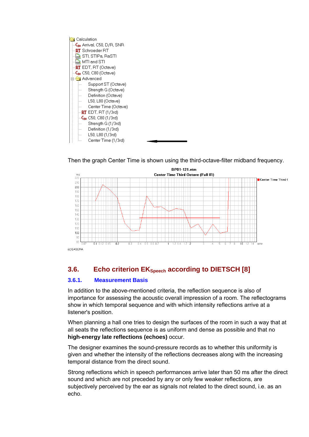<span id="page-26-0"></span>

Then the graph Center Time is shown using the third-octave-filter midband frequency.



## **3.6.** Echo criterion EK<sub>Speech</sub> according to DIETSCH [8]

#### **3.6.1. Measurement Basis**

In addition to the above-mentioned criteria, the reflection sequence is also of importance for assessing the acoustic overall impression of a room. The reflectograms show in which temporal sequence and with which intensity reflections arrive at a listener's position.

When planning a hall one tries to design the surfaces of the room in such a way that at all seats the reflections sequence is as uniform and dense as possible and that no **high-energy late reflections (echoes)** occur.

The designer examines the sound-pressure records as to whether this uniformity is given and whether the intensity of the reflections decreases along with the increasing temporal distance from the direct sound.

Strong reflections which in speech performances arrive later than 50 ms after the direct sound and which are not preceded by any or only few weaker reflections, are subjectively perceived by the ear as signals not related to the direct sound, i.e. as an echo.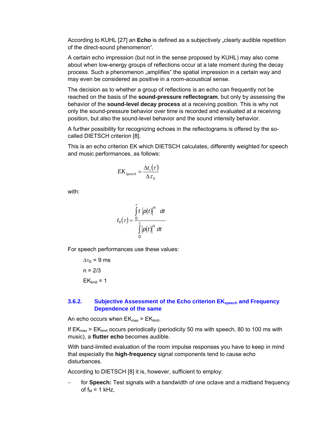<span id="page-27-0"></span>According to KUHL [27] an **Echo** is defined as a subjectively "clearly audible repetition of the direct-sound phenomenon".

A certain echo impression (but not in the sense proposed by KUHL) may also come about when low-energy groups of reflections occur at a late moment during the decay process. Such a phenomenon "amplifies" the spatial impression in a certain way and may even be considered as positive in a room-acoustical sense.

The decision as to whether a group of reflections is an echo can frequently not be reached on the basis of the **sound-pressure reflectogram**, but only by assessing the behavior of the **sound-level decay process** at a receiving position. This is why not only the sound-pressure behavior over time is recorded and evaluated at a receiving position, but also the sound-level behavior and the sound intensity behavior.

A further possibility for recognizing echoes in the reflectograms is offered by the socalled DIETSCH criterion [8].

This is an echo criterion EK which DIETSCH calculates, differently weighted for speech and music performances, as follows:

$$
EK_{\text{Speech}} = \frac{\Delta t_s(\tau)}{\Delta \tau_{\text{E}}}
$$

with:

$$
t_{\rm s}(\tau) = \frac{\int_{0}^{\tau} t \left| \rho(t) \right|^{n} dt}{\int_{0}^{\tau} \left| \rho(t) \right|^{n} dt}
$$

For speech performances use these values:

 $\Delta \tau_F = 9$  ms  $n = 2/3$  $EK<sub>limit</sub> = 1$ 

#### **3.6.2.** Subjective Assessment of the Echo criterion EK<sub>speech</sub> and Frequency **Dependence of the same**

An echo occurs when  $EK_{max}$  >  $EK_{limit}$ .

If  $EK_{max}$  >  $EK_{limit}$  occurs periodically (periodicity 50 ms with speech, 80 to 100 ms with music), a **flutter echo** becomes audible.

With band-limited evaluation of the room impulse responses you have to keep in mind that especially the **high-frequency** signal components tend to cause echo disturbances.

According to DIETSCH [8] it is, however, sufficient to employ:

for **Speech:** Test signals with a bandwidth of one octave and a midband frequency of  $f_M = 1$  kHz,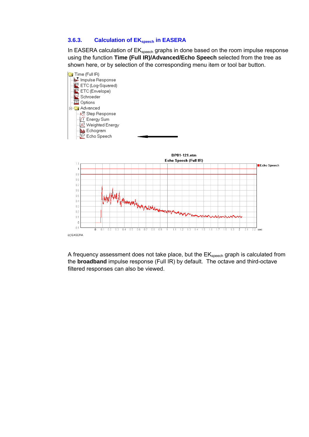#### <span id="page-28-0"></span>**3.6.3.** Calculation of EK<sub>speech</sub> in EASERA

In EASERA calculation of EK<sub>speech</sub> graphs in done based on the room impulse response using the function **Time (Full IR)/Advanced/Echo Speech** selected from the tree as shown here, or by selection of the corresponding menu item or tool bar button.



A frequency assessment does not take place, but the EK<sub>speech</sub> graph is calculated from the **broadband** impulse response (Full IR) by default. The octave and third-octave filtered responses can also be viewed.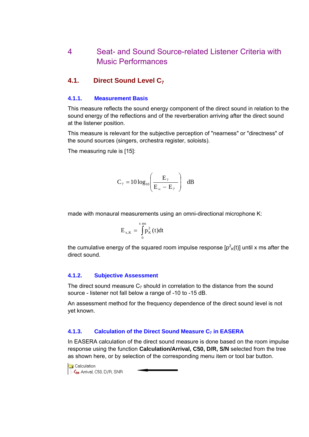## <span id="page-29-0"></span>4 Seat- and Sound Source-related Listener Criteria with Music Performances

## **4.1. Direct Sound Level C7**

#### **4.1.1. Measurement Basis**

This measure reflects the sound energy component of the direct sound in relation to the sound energy of the reflections and of the reverberation arriving after the direct sound at the listener position.

This measure is relevant for the subjective perception of "nearness" or "directness" of the sound sources (singers, orchestra register, soloists).

The measuring rule is [15]:

$$
C_7 = 10 \log_{10} \left( \frac{E_7}{E_{\infty} - E_7} \right) \, dB
$$

made with monaural measurements using an omni-directional microphone K:

$$
E_{x,K} = \int_{0}^{x} p_K^{2}(t)dt
$$

the cumulative energy of the squared room impulse response [p $^2$ <sub>K</sub>(t)] until x ms after the direct sound.

#### **4.1.2. Subjective Assessment**

The direct sound measure  $C_7$  should in correlation to the distance from the sound source - listener not fall below a range of -10 to -15 dB.

An assessment method for the frequency dependence of the direct sound level is not yet known.

#### **4.1.3. Calculation of the Direct Sound Measure C<sub>7</sub> in EASERA**

In EASERA calculation of the direct sound measure is done based on the room impulse response using the function **Calculation/Arrival, C50, D/R, S/N** selected from the tree as shown here, or by selection of the corresponding menu item or tool bar button.

Calculation C<sub>so</sub> Arrival, C50, D/R, SNR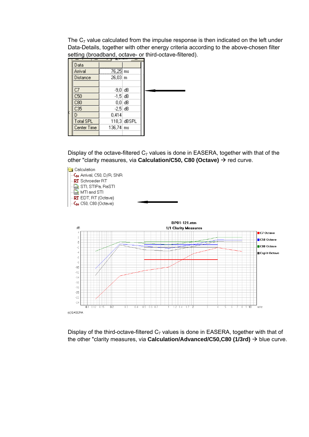The  $C_7$  value calculated from the impulse response is then indicated on the left under Data-Details, together with other energy criteria according to the above-chosen filter setting (broadband, octave- or third-octave-filtered).

|                  | $ -$                  |             |  |
|------------------|-----------------------|-------------|--|
| Data             |                       |             |  |
| Arrival          | 76,25 ms              |             |  |
| Distance         | $26,03 \, m$          |             |  |
|                  |                       |             |  |
| C7               | $-9.0$ dB             |             |  |
| C50              | $-1.5$ dB             |             |  |
| C80              | $0,0$ dB              |             |  |
| C35              | $-2.5$ dB             |             |  |
| D                | 0,414                 |             |  |
| <b>Total SPL</b> |                       | 118,3 dBSPL |  |
| Center Time      | $136,74 \, \text{ms}$ |             |  |
|                  |                       |             |  |

Display of the octave-filtered  $C_7$  values is done in EASERA, together with that of the other "clarity measures, via **Calculation/C50, C80 (Octave)** → red curve.



Display of the third-octave-filtered  $C_7$  values is done in EASERA, together with that of the other "clarity measures, via **Calculation/Advanced/C50,C80 (1/3rd)**  $\rightarrow$  blue curve.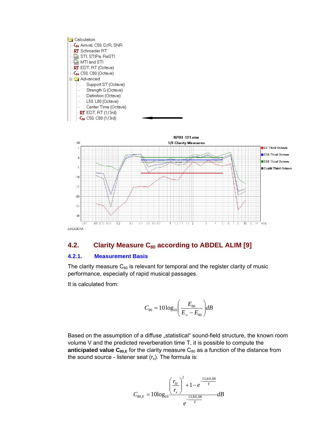<span id="page-31-0"></span>

#### 4.2. Clarity Measure C<sub>80</sub> according to ABDEL ALIM [9]

#### **4.2.1. Measurement Basis**

The clarity measure  $C_{80}$  is relevant for temporal and the register clarity of music performance, especially of rapid musical passages.

It is calculated from:

$$
C_{80} = 10\log_{10}\left(\frac{E_{80}}{E_{\infty} - E_{80}}\right)dB
$$

Based on the assumption of a diffuse "statistical" sound-field structure, the known room volume V and the predicted reverberation time T, it is possible to compute the **anticipated value**  $C_{80,E}$  for the clarity measure  $C_{80}$  as a function of the distance from the sound source - listener seat  $(r_x)$ . The formula is:

$$
C_{80,E} = 10\log_{10}\frac{\left(\frac{r_H}{r_x}\right)^2 + 1 - e^{-\frac{13,80,08}{T}}}{e^{-\frac{13,80,08}{T}}}dB
$$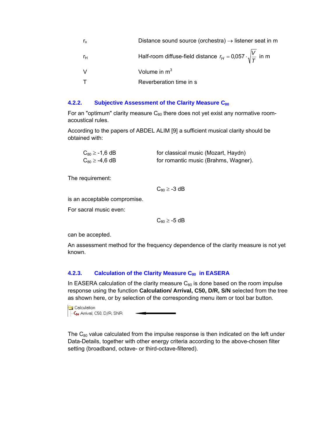<span id="page-32-0"></span>

| $r_{x}$ | Distance sound source (orchestra) $\rightarrow$ listener seat in m           |
|---------|------------------------------------------------------------------------------|
| rн      | Half-room diffuse-field distance $r_H = 0.057 \cdot \sqrt{\frac{V}{T}}$ in m |
|         | Volume in $m3$                                                               |
|         | Reverberation time in s                                                      |

#### **4.2.2. Subjective Assessment of the Clarity Measure C<sub>80</sub>**

For an "optimum" clarity measure  $C_{80}$  there does not yet exist any normative roomacoustical rules.

According to the papers of ABDEL ALIM [9] a sufficient musical clarity should be obtained with:

| $C_{80} \ge -1.6$ dB | for classical music (Mozart, Haydn)  |
|----------------------|--------------------------------------|
| $C_{80} \ge -4.6$ dB | for romantic music (Brahms, Wagner). |

The requirement:

 $C_{80} \ge -3$  dB

is an acceptable compromise.

For sacral music even:

 $C_{80} \ge -5$  dB

can be accepted.

An assessment method for the frequency dependence of the clarity measure is not yet known.

#### 4.2.3. Calculation of the Clarity Measure C<sub>80</sub> in EASERA

In EASERA calculation of the clarity measure  $C_{80}$  is done based on the room impulse response using the function **Calculation/ Arrival, C50, D/R, S/N** selected from the tree as shown here, or by selection of the corresponding menu item or tool bar button.

Calculation C<sub>so</sub> Arrival, C50, D/R, SNR

The  $C_{80}$  value calculated from the impulse response is then indicated on the left under Data-Details, together with other energy criteria according to the above-chosen filter setting (broadband, octave- or third-octave-filtered).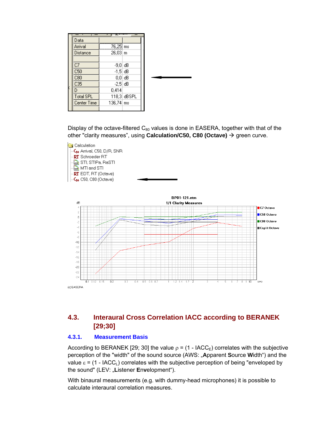<span id="page-33-0"></span>

| Data             |              |             |  |
|------------------|--------------|-------------|--|
| Arrival          | 76,25 ms     |             |  |
| Distance         | $26,03 \, m$ |             |  |
|                  |              |             |  |
| C7               | -9.0 dB      |             |  |
| C50              | $-1.5$ dB    |             |  |
| C80              | $0,0$ dB     |             |  |
| C35              | $-2.5$ dB    |             |  |
| D                | 0,414        |             |  |
| <b>Total SPL</b> |              | 118,3 dBSPL |  |
| Center Time      | 136,74   ms  |             |  |
|                  |              |             |  |

Display of the octave-filtered  $C_{80}$  values is done in EASERA, together with that of the other "clarity measures", using **Calculation/C50, C80 (Octave)** → green curve.



## **4.3. Interaural Cross Correlation IACC according to BERANEK [29;30]**

#### **4.3.1. Measurement Basis**

According to BERANEK [29; 30] the value  $\rho = (1 - IACC_E)$  correlates with the subjective perception of the "width" of the sound source (AWS: "**A**pparent **S**ource **W**idth") and the value  $\epsilon$  = (1 - IACC<sub>I</sub>) correlates with the subjective perception of being "enveloped by the sound" (LEV: "**L**istener **E**n**v**elopment").

With binaural measurements (e.g. with dummy-head microphones) it is possible to calculate interaural correlation measures.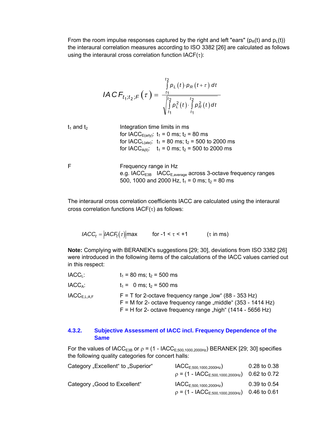<span id="page-34-0"></span>From the room impulse responses captured by the right and left "ears" ( $p_R(t)$  and  $p_L(t)$ ) the interaural correlation measures according to ISO 3382 [26] are calculated as follows using the interaural cross correlation function  $IACF(\tau)$ :

$$
IACF_{t_1;t_2;F}(\tau) = \frac{\int_{t_1}^{t_2} p_L(t) \cdot p_R(t+\tau) dt}{\sqrt{\int_{t_1}^{t_2} p_L^2(t) \cdot \int_{t_1}^{t_2} p_R^2(t) dt}}
$$

 $t_1$  and  $t_2$  Integration time limits in ms for IACC<sub>E(arly</sub>):  $t_1 = 0$  ms;  $t_2 = 80$  ms for IACC<sub>L(ate)</sub>:  $t_1 = 80$  ms;  $t_2 = 500$  to 2000 ms for IACC<sub>A(II)</sub>:  $t_1 = 0$  ms;  $t_2 = 500$  to 2000 ms

F Frequency range in Hz e.g. IACC $_{E3B}$  IACC $_{E,average}$  across 3-octave frequency ranges 500, 1000 and 2000 Hz,  $t_1 = 0$  ms;  $t_2 = 80$  ms

The interaural cross correlation coefficients IACC are calculated using the interaural cross correlation functions IACF(τ) as follows:

*IACC<sub>t</sub>* =  $|ACF_t(\tau)|$ max for -1 <  $\tau$  < +1 (τ in ms)

**Note:** Complying with BERANEK's suggestions [29; 30], deviations from ISO 3382 [26] were introduced in the following items of the calculations of the IACC values carried out in this respect:

| IACC <sub>1</sub> :               | $t_1$ = 80 ms; $t_2$ = 500 ms                                                                                                                                                               |
|-----------------------------------|---------------------------------------------------------------------------------------------------------------------------------------------------------------------------------------------|
| IACC <sub>A</sub> :               | $t_1 = 0$ ms; $t_2 = 500$ ms                                                                                                                                                                |
| $\mathsf{IACC}_{\mathsf{E.L:AF}}$ | $F = T$ for 2-octave frequency range "low" (88 - 353 Hz)<br>$F = M$ for 2- octave frequency range "middle" (353 - 1414 Hz)<br>$F = H$ for 2- octave frequency range "high" (1414 - 5656 Hz) |

#### **4.3.2. Subjective Assessment of IACC incl. Frequency Dependence of the Same**

For the values of IACC<sub>E3B</sub> or  $\rho = (1 - IACC_{E,500,1000,2000Hz})$  BERANEK [29; 30] specifies the following quality categories for concert halls:

| Category "Excellent" to "Superior" | $\textsf{IACC}_{E;500,1000,2000Hz}$         | $0.28$ to $0.38$ |
|------------------------------------|---------------------------------------------|------------------|
|                                    | $p = (1 - IACC_{E,500,1000,2000Hz})$        | $0.62$ to $0.72$ |
| Category "Good to Excellent"       | $\mathsf{IACC}_{E;500,1000,2000 \text{Hz}}$ | 0.39 to 0.54     |
|                                    | $p = (1 - IACCE:500,1000,2000Hz)$           | 0.46 to 0.61     |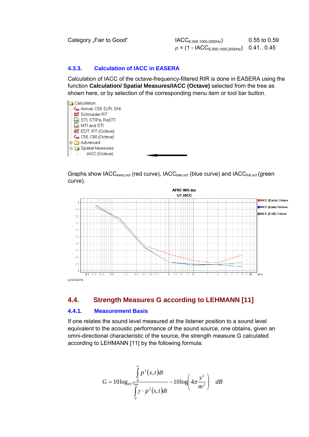<span id="page-35-0"></span>Category "Fair to Good"  $IACC<sub>E;500,1000,2000Hz</sub>$  0.55 to 0.59  $p = (1 - IACC<sub>E,500,1000,2000Hz)</sub>$  0.41. 0.45

#### **4.3.3. Calculation of IACC in EASERA**

Calculation of IACC of the octave-frequency-filtered RIR is done in EASERA using the function **Calculation/ Spatial Measures/IACC (Octave)** selected from the tree as shown here, or by selection of the corresponding menu item or tool bar button.



Graphs show IACC<sub>early,oct</sub> (red curve), IACC<sub>late.oct</sub> (blue curve) and IACC<sub>full,oct</sub> (green curve).



## **4.4. Strength Measures G according to LEHMANN [11]**

#### **4.4.1. Measurement Basis**

If one relates the sound level measured at the listener position to a sound level equivalent to the acoustic performance of the sound source, one obtains, given an omni-directional characteristic of the source, the strength measure G calculated according to LEHMANN [11] by the following formula:

$$
G = 10\log_{10}\frac{\int_{0}^{\infty} p^2(x,t)dt}{\int_{0}^{m} \gamma \cdot p^2(s,t)dt} - 10\log\left(4\pi\frac{s^2}{m^2}\right) dB
$$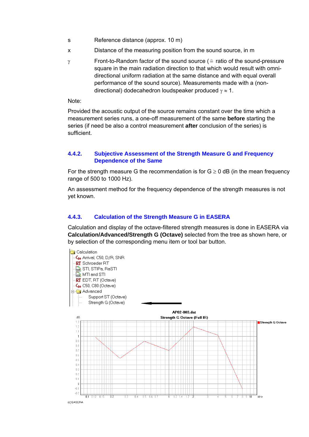- <span id="page-36-0"></span>s Reference distance (approx. 10 m)
- x Distance of the measuring position from the sound source, in m
- Front-to-Random factor of the sound source ( $\epsilon$  ratio of the sound-pressure square in the main radiation direction to that which would result with omnidirectional uniform radiation at the same distance and with equal overall performance of the sound source). Measurements made with a (nondirectional) dodecahedron loudspeaker produced  $\gamma \approx 1$ .

Note:

Provided the acoustic output of the source remains constant over the time which a measurement series runs, a one-off measurement of the same **before** starting the series (if need be also a control measurement **after** conclusion of the series) is sufficient.

#### **4.4.2. Subjective Assessment of the Strength Measure G and Frequency Dependence of the Same**

For the strength measure G the recommendation is for  $G \ge 0$  dB (in the mean frequency range of 500 to 1000 Hz).

An assessment method for the frequency dependence of the strength measures is not yet known.

#### **4.4.3. Calculation of the Strength Measure G in EASERA**

Calculation and display of the octave-filtered strength measures is done in EASERA via **Calculation/Advanced/Strength G (Octave)** selected from the tree as shown here, or by selection of the corresponding menu item or tool bar button.

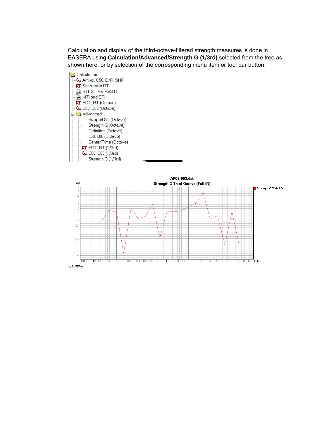Calculation and display of the third-octave-filtered strength measures is done in EASERA using **Calculation/Advanced/Strength G (1/3rd)** selected from the tree as shown here, or by selection of the corresponding menu item or tool bar button.



 $1.2$  1.4  $\frac{1}{17}$  2  $\frac{1}{10}$  12 14 kHz

ĥ R

(c) EASERA

 $-0.8$  $-1$ 

 $0.1$  0.12 0.15

 $\frac{1}{0.2}$ 

 $\overline{0.3}$ 

 $0.4$  0.5 0.6 0.7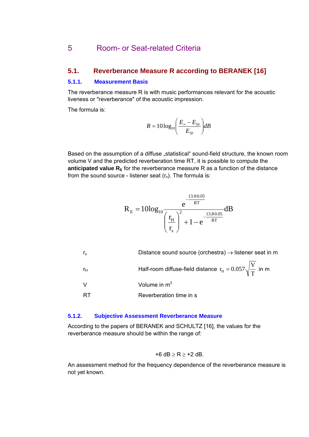## <span id="page-38-0"></span>5 Room- or Seat-related Criteria

#### **5.1. Reverberance Measure R according to BERANEK [16]**

#### **5.1.1. Measurement Basis**

The reverberance measure R is with music performances relevant for the acoustic liveness or "reverberance" of the acoustic impression.

The formula is:

$$
R = 10\log_{10}\left(\frac{E_{\infty} - E_{50}}{E_{50}}\right)dB
$$

Based on the assumption of a diffuse "statistical" sound-field structure, the known room volume V and the predicted reverberation time RT, it is possible to compute the **anticipated value**  $R<sub>E</sub>$  for the reverberance measure R as a function of the distance from the sound source - listener seat  $(r_x)$ . The formula is:

$$
R_{\rm E}=10{\rm log}_{10}{\rm e}^{\frac{-\frac{13.80.05}{RT}}{\rm T}}{\left(\frac{r_{\rm H}}{r_{\rm x}}\right)^2+1-{\rm e}^{\frac{-\frac{13.80.05}{RT}}{\rm RT}}}{\rm dB}
$$

| $r_{x}$        | Distance sound source (orchestra) $\rightarrow$ listener seat in m     |
|----------------|------------------------------------------------------------------------|
| r <sub>H</sub> | Half-room diffuse-field distance $r_H = 0.057 \sqrt{\frac{V}{T}}$ in m |
| \/             | Volume in $m3$                                                         |
| RТ             | Reverberation time in s                                                |

#### **5.1.2. Subjective Assessment Reverberance Measure**

According to the papers of BERANEK and SCHULTZ [16], the values for the reverberance measure should be within the range of:

$$
\texttt{+6 dB} \geq R \geq \texttt{+2 dB}.
$$

An assessment method for the frequency dependence of the reverberance measure is not yet known.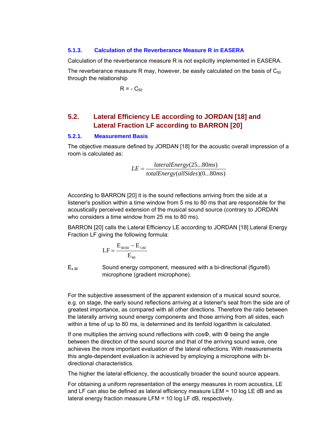#### <span id="page-39-0"></span>**5.1.3. Calculation of the Reverberance Measure R in EASERA**

Calculation of the reverberance measure R is not explicitly implemented in EASERA.

The reverberance measure R may, however, be easily calculated on the basis of  $C_{50}$ through the relationship

 $R = - C_{50}$ 

## **5.2. Lateral Efficiency LE according to JORDAN [18] and Lateral Fraction LF according to BARRON [20]**

#### **5.2.1. Measurement Basis**

The objective measure defined by JORDAN [18] for the acoustic overall impression of a room is calculated as:

$$
LE = \frac{lateralEnergy(25...80ms)}{totalEnergy(allSides)(0...80ms)}
$$

According to BARRON [20] it is the sound reflections arriving from the side at a listener's position within a time window from 5 ms to 80 ms that are responsible for the acoustically perceived extension of the musical sound source (contrary to JORDAN who considers a time window from 25 ms to 80 ms).

BARRON [20] calls the Lateral Efficiency LE according to JORDAN [18] Lateral Energy Fraction LF giving the following formula:

$$
LF = \frac{E_{80BI} - E_{5BI}}{E_{80}}
$$

 $E_{x \, \text{BI}}$  Sound energy component, measured with a bi-directional (figure8) microphone (gradient microphone).

For the subjective assessment of the apparent extension of a musical sound source, e.g. on stage, the early sound reflections arriving at a listener's seat from the side are of greatest importance, as compared with all other directions. Therefore the ratio between the laterally arriving sound energy components and those arriving from all sides, each within a time of up to 80 ms, is determined and its tenfold logarithm is calculated.

If one multiplies the arriving sound reflections with cosΦ, with Φ being the angle between the direction of the sound source and that of the arriving sound wave, one achieves the more important evaluation of the lateral reflections. With measurements this angle-dependent evaluation is achieved by employing a microphone with bidirectional characteristics.

The higher the lateral efficiency, the acoustically broader the sound source appears.

For obtaining a uniform representation of the energy measures in room acoustics, LE and LF can also be defined as lateral efficiency measure LEM = 10 Iog LE dB and as lateral energy fraction measure LFM = 10 Iog LF dB, respectively.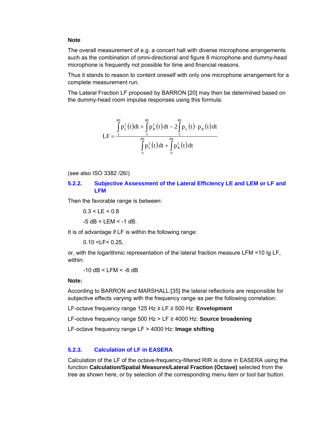#### <span id="page-40-0"></span>**Note**

The overall measurement of e.g. a concert hall with diverse microphone arrangements such as the combination of omni-directional and figure 8 microphone and dummy-head microphone is frequently not possible for time and financial reasons.

Thus it stands to reason to content oneself with only one microphone arrangement for a complete measurement run.

The Lateral Fraction LF proposed by BARRON [20] may then be determined based on the dummy-head room impulse responses using this formula:

$$
LF = \frac{\int_{s}^{80} p_{L}^{2}(t)dt + \int_{s}^{80} p_{R}^{2}(t)dt - 2\int_{s}^{80} p_{L}(t) \cdot p_{R}(t)dt}{\int_{0}^{80} p_{L}^{2}(t)dt + \int_{0}^{80} p_{R}^{2}(t)dt}
$$

(see also ISO 3382 /26/)

#### **5.2.2. Subjective Assessment of the Lateral Efficiency LE and LEM or LF and LFM**

Then the favorable range is between:

 $0.3 < LE < 0.8$ 

 $-5$  dB  $\leq$  LEM  $\leq$  -1 dB.

It is of advantage if LF is within the following range:

0.10 <LF< 0.25,

or, with the logarithmic representation of the lateral fraction measure LFM =10 Ig LF, within:

 $-10$  dB  $<$  LFM  $<$  -6 dB

#### **Note:**

According to BARRON and MARSHALL:[35] the lateral reflections are responsible for subjective effects varying with the frequency range as per the following correlation:

LF-octave frequency range 125 Hz ≥ LF ≥ 500 Hz: **Envelopment**

LF-octave frequency range 500 Hz > LF ≥ 4000 Hz: **Source broadening**

LF-octave frequency range LF > 4000 Hz: **Image shifting**

#### **5.2.3. Calculation of LF in EASERA**

Calculation of the LF of the octave-frequency-filtered RIR is done in EASERA using the function **Calculation/Spatial Measures/Lateral Fraction (Octave)** selected from the tree as shown here, or by selection of the corresponding menu item or tool bar button.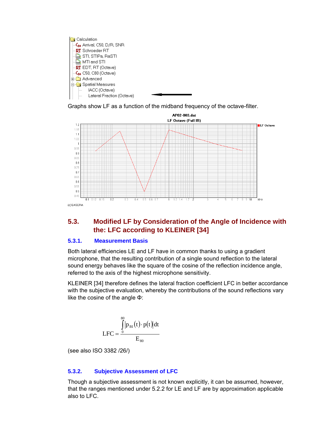<span id="page-41-0"></span>

Graphs show LF as a function of the midband frequency of the octave-filter.



## **5.3. Modified LF by Consideration of the Angle of Incidence with the: LFC according to KLEINER [34]**

#### **5.3.1. Measurement Basis**

Both lateral efficiencies LE and LF have in common thanks to using a gradient microphone, that the resulting contribution of a single sound reflection to the lateral sound energy behaves like the square of the cosine of the reflection incidence angle, referred to the axis of the highest microphone sensitivity.

KLEINER [34] therefore defines the lateral fraction coefficient LFC in better accordance with the subjective evaluation, whereby the contributions of the sound reflections vary like the cosine of the angle Φ:

$$
LFC = \frac{\int_{0}^{80} |p_{BI}(t) \cdot p(t)| dt}{E_{80}}
$$

(see also ISO 3382 /26/)

#### **5.3.2. Subjective Assessment of LFC**

Though a subjective assessment is not known explicitly, it can be assumed, however, that the ranges mentioned under 5.2.2 for LE and LF are by approximation applicable also to LFC.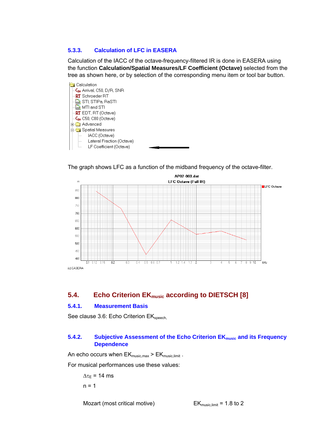#### <span id="page-42-0"></span>**5.3.3. Calculation of LFC in EASERA**

Calculation of the IACC of the octave-frequency-filtered IR is done in EASERA using the function **Calculation/Spatial Measures/LF Coefficient (Octave)** selected from the tree as shown here, or by selection of the corresponding menu item or tool bar button.



The graph shows LFC as a function of the midband frequency of the octave-filter.



## **5.4. Echo Criterion EK**<sub>music</sub> according to DIETSCH [8]

#### **5.4.1. Measurement Basis**

See clause 3.6: Echo Criterion EK<sub>speech</sub>

#### **5.4.2.** Subjective Assessment of the Echo Criterion EK<sub>music</sub> and its Frequency **Dependence**

An echo occurs when  $EK_{music,max} > EK_{music,limit}$ .

For musical performances use these values:

 $\Delta \tau_E$  = 14 ms  $n = 1$ 

Mozart (most critical motive)  $EK_{\text{music, limit}} = 1.8$  to 2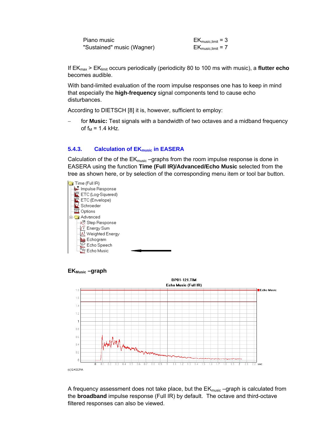<span id="page-43-0"></span>

| Piano music                | $EK_{\text{music,limit}} = 3$ |
|----------------------------|-------------------------------|
| "Sustained" music (Wagner) | $EK_{\text{music,limit}} = 7$ |

If EKmax > EKlimit occurs periodically (periodicity 80 to 100 ms with music), a **flutter echo** becomes audible.

With band-limited evaluation of the room impulse responses one has to keep in mind that especially the **high-frequency** signal components tend to cause echo disturbances.

According to DIETSCH [8] it is, however, sufficient to employ:

for **Music:** Test signals with a bandwidth of two octaves and a midband frequency of  $f_M$  = 1.4 kHz.

#### **5.4.3.** Calculation of EK<sub>music</sub> in EASERA

Calculation of the of the  $EK_{music}$  –graphs from the room impulse response is done in EASERA using the function **Time (Full IR)/Advanced/Echo Music** selected from the tree as shown here, or by selection of the corresponding menu item or tool bar button.





A frequency assessment does not take place, but the  $EK_{music}$  –graph is calculated from the **broadband** impulse response (Full IR) by default. The octave and third-octave filtered responses can also be viewed.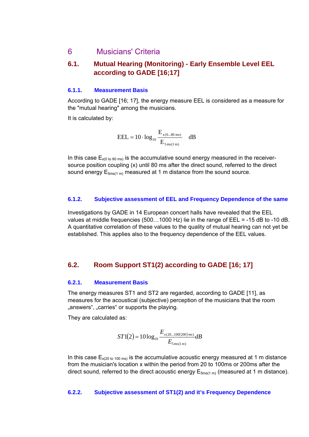## <span id="page-44-0"></span>6 Musicians' Criteria

## **6.1. Mutual Hearing (Monitoring) - Early Ensemble Level EEL according to GADE [16;17]**

#### **6.1.1. Measurement Basis**

According to GADE [16; 17], the energy measure EEL is considered as a measure for the "mutual hearing" among the musicians.

It is calculated by:

$$
EEL = 10 \cdot \log_{10} \frac{E_{x(0...80 \text{ ms})}}{E_{5 \text{ ms}(1 \text{ m})}} dB
$$

In this case  $E_{x(0 \text{ to } 80 \text{ ms})}$  is the accumulative sound energy measured in the receiversource position coupling (x) until 80 ms after the direct sound, referred to the direct sound energy  $E_{5ms(1 m)}$  measured at 1 m distance from the sound source.

#### **6.1.2. Subjective assessment of EEL and Frequency Dependence of the same**

Investigations by GADE in 14 European concert halls have revealed that the EEL values at middle frequencies (500…1000 Hz) lie in the range of EEL = -15 dB to -10 dB. A quantitative correlation of these values to the quality of mutual hearing can not yet be established. This applies also to the frequency dependence of the EEL values.

## **6.2. Room Support ST1(2) according to GADE [16; 17]**

#### **6.2.1. Measurement Basis**

The energy measures ST1 and ST2 are regarded, according to GADE [11], as measures for the acoustical (subjective) perception of the musicians that the room "answers", "carries" or supports the playing.

They are calculated as:

$$
ST1(2)=10\log_{10}\frac{E_{x(20...100(200)ms)}}{E_{5ms(1m)}}dB
$$

In this case  $E_{x(20 \text{ to } 100 \text{ ms})}$  is the accumulative acoustic energy measured at 1 m distance from the musician's location x within the period from 20 to 100ms or 200ms after the direct sound, referred to the direct acoustic energy  $E_{5ms(1 m)}$  (measured at 1 m distance).

#### **6.2.2. Subjective assessment of ST1(2) and it's Frequency Dependence**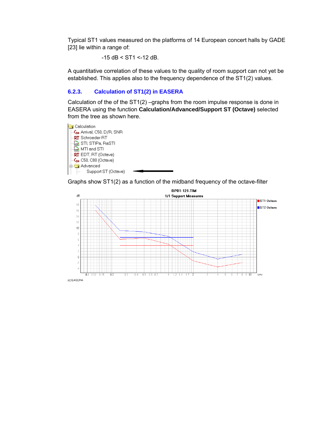<span id="page-45-0"></span>Typical ST1 values measured on the platforms of 14 European concert halls by GADE [23] lie within a range of:

 $-15$  dB < ST1 <-12 dB.

A quantitative correlation of these values to the quality of room support can not yet be established. This applies also to the frequency dependence of the ST1(2) values.

#### **6.2.3. Calculation of ST1(2) in EASERA**

Calculation of the of the ST1(2) –graphs from the room impulse response is done in EASERA using the function **Calculation/Advanced/Support ST (Octave)** selected from the tree as shown here.



Graphs show ST1(2) as a function of the midband frequency of the octave-filter

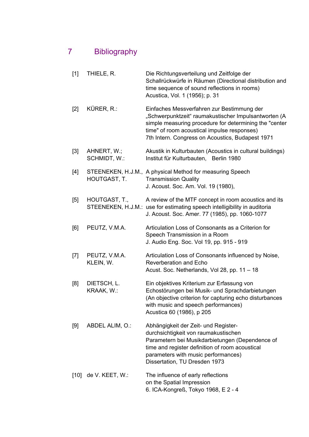## <span id="page-46-0"></span>7 Bibliography

| $[1]$  | THIELE, R.                  | Die Richtungsverteilung und Zeitfolge der<br>Schallrückwürfe in Räumen (Directional distribution and<br>time sequence of sound reflections in rooms)<br>Acustica, Vol. 1 (1956); p. 31                                                                           |
|--------|-----------------------------|------------------------------------------------------------------------------------------------------------------------------------------------------------------------------------------------------------------------------------------------------------------|
| $[2]$  | KÜRER, R.:                  | Einfaches Messverfahren zur Bestimmung der<br>"Schwerpunktzeit" raumakustischer Impulsantworten (A<br>simple measuring procedure for determining the "center"<br>time" of room acoustical impulse responses)<br>7th Intern. Congress on Acoustics, Budapest 1971 |
| $[3]$  | AHNERT, W.;<br>SCHMIDT, W.: | Akustik in Kulturbauten (Acoustics in cultural buildings)<br>Institut für Kulturbauten,<br>Berlin 1980                                                                                                                                                           |
| [4]    | HOUTGAST, T.                | STEENEKEN, H.J.M., A physical Method for measuring Speech<br><b>Transmission Quality</b><br>J. Acoust. Soc. Am. Vol. 19 (1980),                                                                                                                                  |
| [5]    | HOUTGAST, T.,               | A review of the MTF concept in room acoustics and its<br>STEENEKEN, H.J.M.: use for estimating speech intelligibility in auditoria<br>J. Acoust. Soc. Amer. 77 (1985), pp. 1060-1077                                                                             |
| [6]    | PEUTZ, V.M.A.               | Articulation Loss of Consonants as a Criterion for<br>Speech Transmission in a Room<br>J. Audio Eng. Soc. Vol 19, pp. 915 - 919                                                                                                                                  |
| $[7]$  | PEUTZ, V.M.A.<br>KLEIN, W.  | Articulation Loss of Consonants influenced by Noise,<br>Reverberation and Echo<br>Acust. Soc. Netherlands, Vol 28, pp. 11 - 18                                                                                                                                   |
| [8]    | DIETSCH, L.<br>KRAAK, W.:   | Ein objektives Kriterium zur Erfassung von<br>Echostörungen bei Musik- und Sprachdarbietungen<br>(An objective criterion for capturing echo disturbances<br>with music and speech performances)<br>Acustica 60 (1986), p 205                                     |
| [9]    | ABDEL ALIM, O.:             | Abhängigkeit der Zeit- und Register-<br>durchsichtigkeit von raumakustischen<br>Parametern bei Musikdarbietungen (Dependence of<br>time and register definition of room acoustical<br>parameters with music performances)<br>Dissertation, TU Dresden 1973       |
| $[10]$ | de V. KEET, W.:             | The influence of early reflections<br>on the Spatial Impression<br>6. ICA-Kongreß, Tokyo 1968, E 2 - 4                                                                                                                                                           |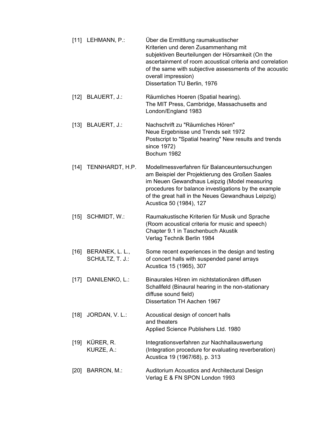| $[11]$ LEHMANN, P.:                     | Über die Ermittlung raumakustischer<br>Kriterien und deren Zusammenhang mit<br>subjektiven Beurteilungen der Hörsamkeit (On the<br>ascertainment of room acoustical criteria and correlation<br>of the same with subjective assessments of the acoustic<br>overall impression)<br>Dissertation TU Berlin, 1976 |
|-----------------------------------------|----------------------------------------------------------------------------------------------------------------------------------------------------------------------------------------------------------------------------------------------------------------------------------------------------------------|
| $[12]$ BLAUERT, J.:                     | Räumliches Hoeren (Spatial hearing).<br>The MIT Press, Cambridge, Massachusetts and<br>London/England 1983                                                                                                                                                                                                     |
| $[13]$ BLAUERT, J.:                     | Nachschrift zu "Räumliches Hören"<br>Neue Ergebnisse und Trends seit 1972<br>Postscript to "Spatial hearing" New results and trends<br>since 1972)<br>Bochum 1982                                                                                                                                              |
| [14] TENNHARDT, H.P.                    | Modellmessverfahren für Balanceuntersuchungen<br>am Beispiel der Projektierung des Großen Saales<br>im Neuen Gewandhaus Leipzig (Model measuring<br>procedures for balance investigations by the example<br>of the great hall in the Neues Gewandhaus Leipzig)<br>Acustica 50 (1984), 127                      |
| $[15]$ SCHMIDT, W.:                     | Raumakustische Kriterien für Musik und Sprache<br>(Room acoustical criteria for music and speech)<br>Chapter 9.1 in Taschenbuch Akustik<br>Verlag Technik Berlin 1984                                                                                                                                          |
| [16] BERANEK, L. L.,<br>SCHULTZ, T. J.: | Some recent experiences in the design and testing<br>of concert halls with suspended panel arrays<br>Acustica 15 (1965), 307                                                                                                                                                                                   |
| [17] DANILENKO, L.:                     | Binaurales Hören im nichtstationären diffusen<br>Schallfeld (Binaural hearing in the non-stationary<br>diffuse sound field)<br>Dissertation TH Aachen 1967                                                                                                                                                     |
| [18] JORDAN, V. L.:                     | Acoustical design of concert halls<br>and theaters<br>Applied Science Publishers Ltd. 1980                                                                                                                                                                                                                     |
| [19] KÜRER, R.<br>KURZE, A.:            | Integrationsverfahren zur Nachhallauswertung<br>(Integration procedure for evaluating reverberation)<br>Acustica 19 (1967/68), p. 313                                                                                                                                                                          |
| [20] BARRON, M.:                        | Auditorium Acoustics and Architectural Design<br>Verlag E & FN SPON London 1993                                                                                                                                                                                                                                |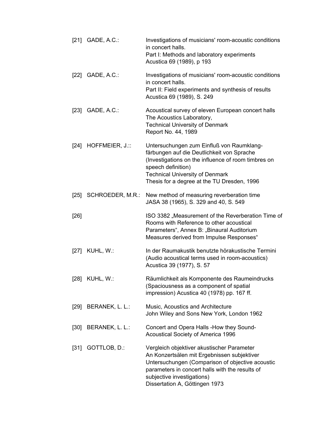|        | [21] GADE, A.C.: | Investigations of musicians' room-acoustic conditions<br>in concert halls.<br>Part I: Methods and laboratory experiments<br>Acustica 69 (1989), p 193                                                                                                            |
|--------|------------------|------------------------------------------------------------------------------------------------------------------------------------------------------------------------------------------------------------------------------------------------------------------|
|        | [22] GADE, A.C.: | Investigations of musicians' room-acoustic conditions<br>in concert halls.<br>Part II: Field experiments and synthesis of results<br>Acustica 69 (1989), S. 249                                                                                                  |
|        | [23] GADE, A.C.: | Acoustical survey of eleven European concert halls<br>The Acoustics Laboratory,<br><b>Technical University of Denmark</b><br>Report No. 44, 1989                                                                                                                 |
| [24]   | HOFFMEIER, J.::  | Untersuchungen zum Einfluß von Raumklang-<br>färbungen auf die Deutlichkeit von Sprache<br>(Investigations on the influence of room timbres on<br>speech definition)<br><b>Technical University of Denmark</b><br>Thesis for a degree at the TU Dresden, 1996    |
| [25]   | SCHROEDER, M.R.: | New method of measuring reverberation time<br>JASA 38 (1965), S. 329 and 40, S. 549                                                                                                                                                                              |
| $[26]$ |                  | ISO 3382 "Measurement of the Reverberation Time of<br>Rooms with Reference to other acoustical<br>Parameters", Annex B: "Binaural Auditorium<br>Measures derived from Impulse Responses"                                                                         |
| [27]   | KUHL, W.:        | In der Raumakustik benutzte hörakustische Termini<br>(Audio acoustical terms used in room-acoustics)<br>Acustica 39 (1977), S. 57                                                                                                                                |
| [28]   | KUHL, W.:        | Räumlichkeit als Komponente des Raumeindrucks<br>(Spaciousness as a component of spatial<br>impression) Acustica 40 (1978) pp. 167 ff.                                                                                                                           |
| [29]   | BERANEK, L. L.:  | Music, Acoustics and Architecture<br>John Wiley and Sons New York, London 1962                                                                                                                                                                                   |
| $[30]$ | BERANEK, L. L.:  | Concert and Opera Halls -How they Sound-<br><b>Acoustical Society of America 1996</b>                                                                                                                                                                            |
| $[31]$ | GOTTLOB, D.:     | Vergleich objektiver akustischer Parameter<br>An Konzertsälen mit Ergebnissen subjektiver<br>Untersuchungen (Comparison of objective acoustic<br>parameters in concert halls with the results of<br>subjective investigations)<br>Dissertation A, Göttingen 1973 |